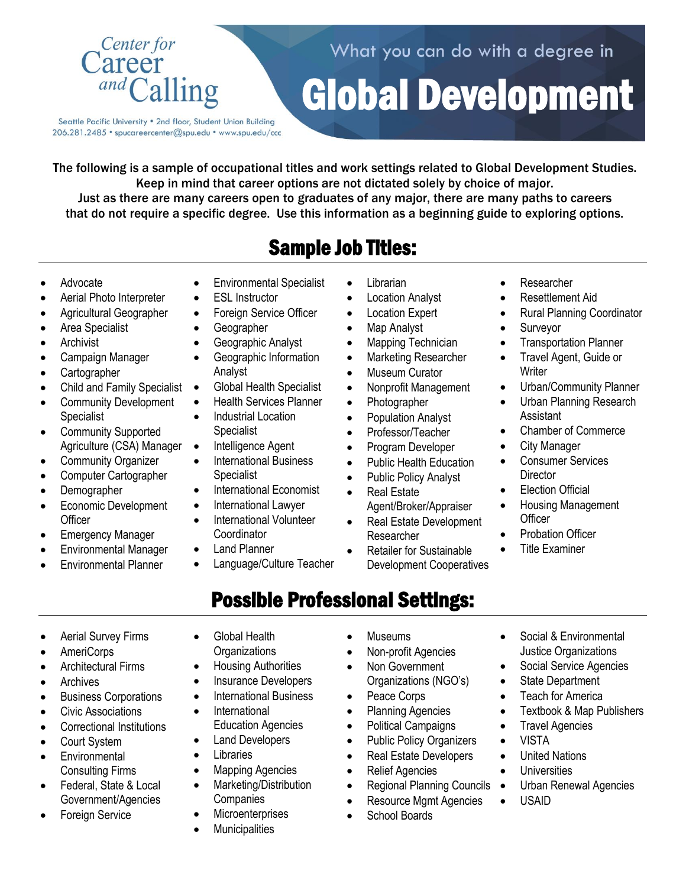

Seattle Pacific University . 2nd floor, Student Union Building 206.281.2485 · spucareercenter@spu.edu · www.spu.edu/ccc

The following is a sample of occupational titles and work settings related to Global Development Studies. Keep in mind that career options are not dictated solely by choice of major. Just as there are many careers open to graduates of any major, there are many paths to careers that do not require a specific degree. Use this information as a beginning guide to exploring options.

# Sample Job Titles:

- Advocate
- Aerial Photo Interpreter
- Agricultural Geographer
- Area Specialist
- **Archivist**
- Campaign Manager
- Cartographer
- Child and Family Specialist
- Community Development Specialist
- Community Supported Agriculture (CSA) Manager
- Community Organizer
- Computer Cartographer
- Demographer
- Economic Development **Officer**
- **Emergency Manager**
- Environmental Manager
- Environmental Planner
- **•** Environmental Specialist
- ESL Instructor
- Foreign Service Officer
- **•** Geographer
- Geographic Analyst
- Geographic Information Analyst
- Global Health Specialist
- Health Services Planner
- Industrial Location Specialist
- Intelligence Agent
- International Business Specialist
- International Economist
- International Lawyer
- International Volunteer **Coordinator**
- Land Planner
- Language/Culture Teacher
- Librarian
- Location Analyst
- Location Expert
- Map Analyst
- Mapping Technician
- Marketing Researcher
- Museum Curator
- Nonprofit Management
- Photographer
- Population Analyst
- Professor/Teacher
- Program Developer
- Public Health Education
- Public Policy Analyst
- Real Estate
	- Agent/Broker/Appraiser
- Real Estate Development Researcher
- Retailer for Sustainable Development Cooperatives

Researcher

Global Development

What you can do with a degree in

- Resettlement Aid
- Rural Planning Coordinator
- Surveyor
- Transportation Planner
- Travel Agent, Guide or **Writer**
- Urban/Community Planner
- Urban Planning Research Assistant
- Chamber of Commerce
- City Manager
- Consumer Services **Director**
- Election Official
- Housing Management **Officer**

 Social & Environmental Justice Organizations Social Service Agencies

Textbook & Map Publishers

Urban Renewal Agencies

Probation Officer

• State Department Teach for America

• Travel Agencies

 United Nations **Universities** 

VISTA

USAID

- Title Examiner
- Possible Professional Settings:
- Aerial Survey Firms
- AmeriCorps
- Architectural Firms
- Archives
- Business Corporations
- Civic Associations
- Correctional Institutions
- Court System
- **•** Environmental Consulting Firms
- Federal, State & Local Government/Agencies
- Foreign Service
- Global Health **Organizations**
- Housing Authorities
- Insurance Developers
- International Business
- **•** International Education Agencies
- Land Developers
- **•** Libraries
- Mapping Agencies
- Marketing/Distribution **Companies**
- **Microenterprises**
- **Municipalities**
- Museums
- Non-profit Agencies
- Non Government Organizations (NGO's)
- Peace Corps
- Planning Agencies

Relief Agencies

- Political Campaigns
- Public Policy Organizers • Real Estate Developers

• Regional Planning Councils • • Resource Mgmt Agencies School Boards